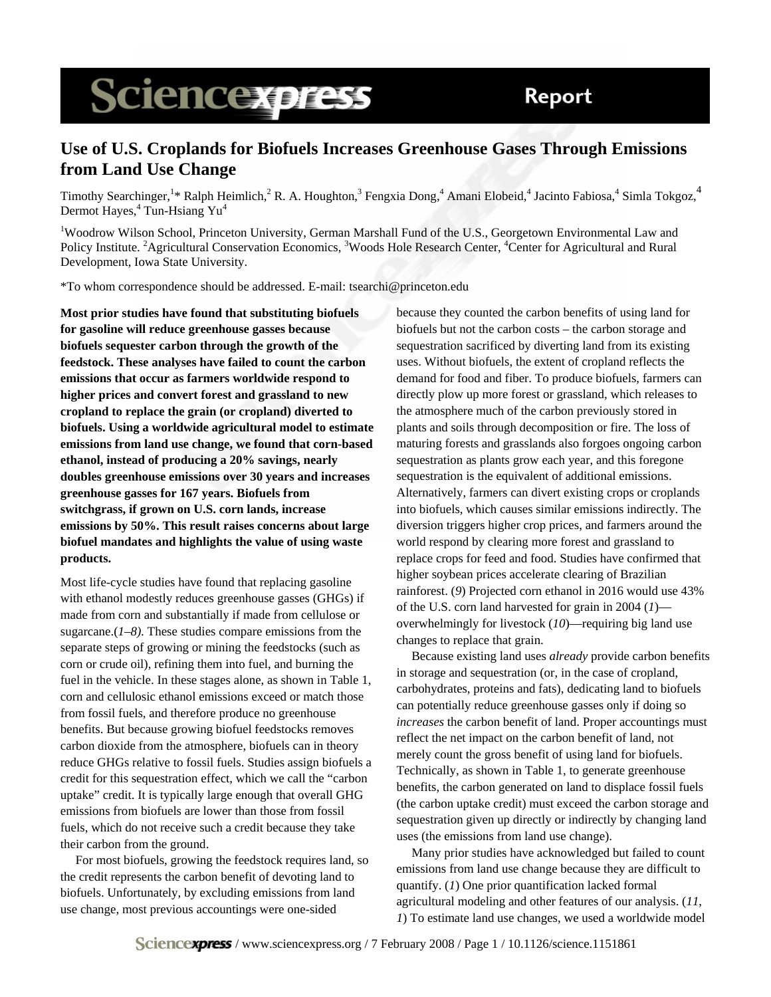## **Science energy**

## **Use of U.S. Croplands for Biofuels Increases Greenhouse Gases Through Emissions from Land Use Change**

Timothy Searchinger,<sup>1\*</sup> Ralph Heimlich,<sup>2</sup> R. A. Houghton,<sup>3</sup> Fengxia Dong,<sup>4</sup> Amani Elobeid,<sup>4</sup> Jacinto Fabiosa,<sup>4</sup> Simla Tokgoz,<sup>4</sup> Dermot Hayes,<sup>4</sup> Tun-Hsiang Yu<sup>4</sup>

<sup>1</sup>Woodrow Wilson School, Princeton University, German Marshall Fund of the U.S., Georgetown Environmental Law and Policy Institute. <sup>2</sup>Agricultural Conservation Economics, <sup>3</sup>Woods Hole Research Center, <sup>4</sup>Center for Agricultural and Rural Development, Iowa State University.

\*To whom correspondence should be addressed. E-mail: tsearchi@princeton.edu

**Most prior studies have found that substituting biofuels for gasoline will reduce greenhouse gasses because biofuels sequester carbon through the growth of the feedstock. These analyses have failed to count the carbon emissions that occur as farmers worldwide respond to higher prices and convert forest and grassland to new cropland to replace the grain (or cropland) diverted to biofuels. Using a worldwide agricultural model to estimate emissions from land use change, we found that corn-based ethanol, instead of producing a 20% savings, nearly doubles greenhouse emissions over 30 years and increases greenhouse gasses for 167 years. Biofuels from switchgrass, if grown on U.S. corn lands, increase emissions by 50%. This result raises concerns about large biofuel mandates and highlights the value of using waste products.** 

Most life-cycle studies have found that replacing gasoline with ethanol modestly reduces greenhouse gasses (GHGs) if made from corn and substantially if made from cellulose or sugarcane.(*1*–*8)*. These studies compare emissions from the separate steps of growing or mining the feedstocks (such as corn or crude oil), refining them into fuel, and burning the fuel in the vehicle. In these stages alone, as shown in Table 1, corn and cellulosic ethanol emissions exceed or match those from fossil fuels, and therefore produce no greenhouse benefits. But because growing biofuel feedstocks removes carbon dioxide from the atmosphere, biofuels can in theory reduce GHGs relative to fossil fuels. Studies assign biofuels a credit for this sequestration effect, which we call the "carbon uptake" credit. It is typically large enough that overall GHG emissions from biofuels are lower than those from fossil fuels, which do not receive such a credit because they take their carbon from the ground.

For most biofuels, growing the feedstock requires land, so the credit represents the carbon benefit of devoting land to biofuels. Unfortunately, by excluding emissions from land use change, most previous accountings were one-sided

because they counted the carbon benefits of using land for biofuels but not the carbon costs – the carbon storage and sequestration sacrificed by diverting land from its existing uses. Without biofuels, the extent of cropland reflects the demand for food and fiber. To produce biofuels, farmers can directly plow up more forest or grassland, which releases to the atmosphere much of the carbon previously stored in plants and soils through decomposition or fire. The loss of maturing forests and grasslands also forgoes ongoing carbon sequestration as plants grow each year, and this foregone sequestration is the equivalent of additional emissions. Alternatively, farmers can divert existing crops or croplands into biofuels, which causes similar emissions indirectly. The diversion triggers higher crop prices, and farmers around the world respond by clearing more forest and grassland to replace crops for feed and food. Studies have confirmed that higher soybean prices accelerate clearing of Brazilian rainforest. (*9*) Projected corn ethanol in 2016 would use 43% of the U.S. corn land harvested for grain in 2004 (*1*) overwhelmingly for livestock (*10*)—requiring big land use changes to replace that grain.

Because existing land uses *already* provide carbon benefits in storage and sequestration (or, in the case of cropland, carbohydrates, proteins and fats), dedicating land to biofuels can potentially reduce greenhouse gasses only if doing so *increases* the carbon benefit of land. Proper accountings must reflect the net impact on the carbon benefit of land, not merely count the gross benefit of using land for biofuels. Technically, as shown in Table 1, to generate greenhouse benefits, the carbon generated on land to displace fossil fuels (the carbon uptake credit) must exceed the carbon storage and sequestration given up directly or indirectly by changing land uses (the emissions from land use change).

Many prior studies have acknowledged but failed to count emissions from land use change because they are difficult to quantify. (*1*) One prior quantification lacked formal agricultural modeling and other features of our analysis. (*11*, *1*) To estimate land use changes, we used a worldwide model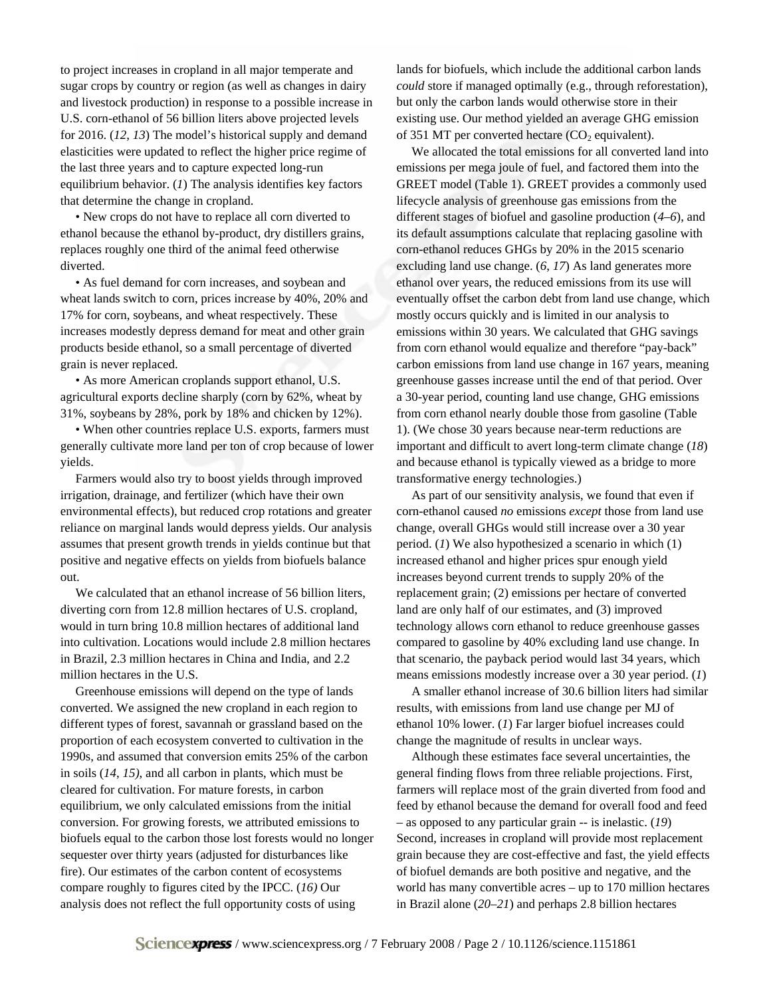to project increases in cropland in all major temperate and sugar crops by country or region (as well as changes in dairy and livestock production) in response to a possible increase in U.S. corn-ethanol of 56 billion liters above projected levels for 2016. (*12*, *13*) The model's historical supply and demand elasticities were updated to reflect the higher price regime of the last three years and to capture expected long-run equilibrium behavior. (*1*) The analysis identifies key factors that determine the change in cropland.

• New crops do not have to replace all corn diverted to ethanol because the ethanol by-product, dry distillers grains, replaces roughly one third of the animal feed otherwise diverted.

• As fuel demand for corn increases, and soybean and wheat lands switch to corn, prices increase by 40%, 20% and 17% for corn, soybeans, and wheat respectively. These increases modestly depress demand for meat and other grain products beside ethanol, so a small percentage of diverted grain is never replaced.

• As more American croplands support ethanol, U.S. agricultural exports decline sharply (corn by 62%, wheat by 31%, soybeans by 28%, pork by 18% and chicken by 12%).

• When other countries replace U.S. exports, farmers must generally cultivate more land per ton of crop because of lower yields.

Farmers would also try to boost yields through improved irrigation, drainage, and fertilizer (which have their own environmental effects), but reduced crop rotations and greater reliance on marginal lands would depress yields. Our analysis assumes that present growth trends in yields continue but that positive and negative effects on yields from biofuels balance out.

We calculated that an ethanol increase of 56 billion liters, diverting corn from 12.8 million hectares of U.S. cropland, would in turn bring 10.8 million hectares of additional land into cultivation. Locations would include 2.8 million hectares in Brazil, 2.3 million hectares in China and India, and 2.2 million hectares in the U.S.

Greenhouse emissions will depend on the type of lands converted. We assigned the new cropland in each region to different types of forest, savannah or grassland based on the proportion of each ecosystem converted to cultivation in the 1990s, and assumed that conversion emits 25% of the carbon in soils (*14*, *15)*, and all carbon in plants, which must be cleared for cultivation. For mature forests, in carbon equilibrium, we only calculated emissions from the initial conversion. For growing forests, we attributed emissions to biofuels equal to the carbon those lost forests would no longer sequester over thirty years (adjusted for disturbances like fire). Our estimates of the carbon content of ecosystems compare roughly to figures cited by the IPCC. (*16)* Our analysis does not reflect the full opportunity costs of using

lands for biofuels, which include the additional carbon lands *could* store if managed optimally (e.g., through reforestation), but only the carbon lands would otherwise store in their existing use. Our method yielded an average GHG emission of 351 MT per converted hectare  $(CO<sub>2</sub>$  equivalent).

We allocated the total emissions for all converted land into emissions per mega joule of fuel, and factored them into the GREET model (Table 1). GREET provides a commonly used lifecycle analysis of greenhouse gas emissions from the different stages of biofuel and gasoline production (*4*–*6*), and its default assumptions calculate that replacing gasoline with corn-ethanol reduces GHGs by 20% in the 2015 scenario excluding land use change. (*6*, *17*) As land generates more ethanol over years, the reduced emissions from its use will eventually offset the carbon debt from land use change, which mostly occurs quickly and is limited in our analysis to emissions within 30 years. We calculated that GHG savings from corn ethanol would equalize and therefore "pay-back" carbon emissions from land use change in 167 years, meaning greenhouse gasses increase until the end of that period. Over a 30-year period, counting land use change, GHG emissions from corn ethanol nearly double those from gasoline (Table 1). (We chose 30 years because near-term reductions are important and difficult to avert long-term climate change (*18*) and because ethanol is typically viewed as a bridge to more transformative energy technologies.)

As part of our sensitivity analysis, we found that even if corn-ethanol caused *no* emissions *except* those from land use change, overall GHGs would still increase over a 30 year period. (*1*) We also hypothesized a scenario in which (1) increased ethanol and higher prices spur enough yield increases beyond current trends to supply 20% of the replacement grain; (2) emissions per hectare of converted land are only half of our estimates, and (3) improved technology allows corn ethanol to reduce greenhouse gasses compared to gasoline by 40% excluding land use change. In that scenario, the payback period would last 34 years, which means emissions modestly increase over a 30 year period. (*1*)

A smaller ethanol increase of 30.6 billion liters had similar results, with emissions from land use change per MJ of ethanol 10% lower. (*1*) Far larger biofuel increases could change the magnitude of results in unclear ways.

Although these estimates face several uncertainties, the general finding flows from three reliable projections. First, farmers will replace most of the grain diverted from food and feed by ethanol because the demand for overall food and feed – as opposed to any particular grain -- is inelastic. (*19*) Second, increases in cropland will provide most replacement grain because they are cost-effective and fast, the yield effects of biofuel demands are both positive and negative, and the world has many convertible acres – up to 170 million hectares in Brazil alone (*20*–*21*) and perhaps 2.8 billion hectares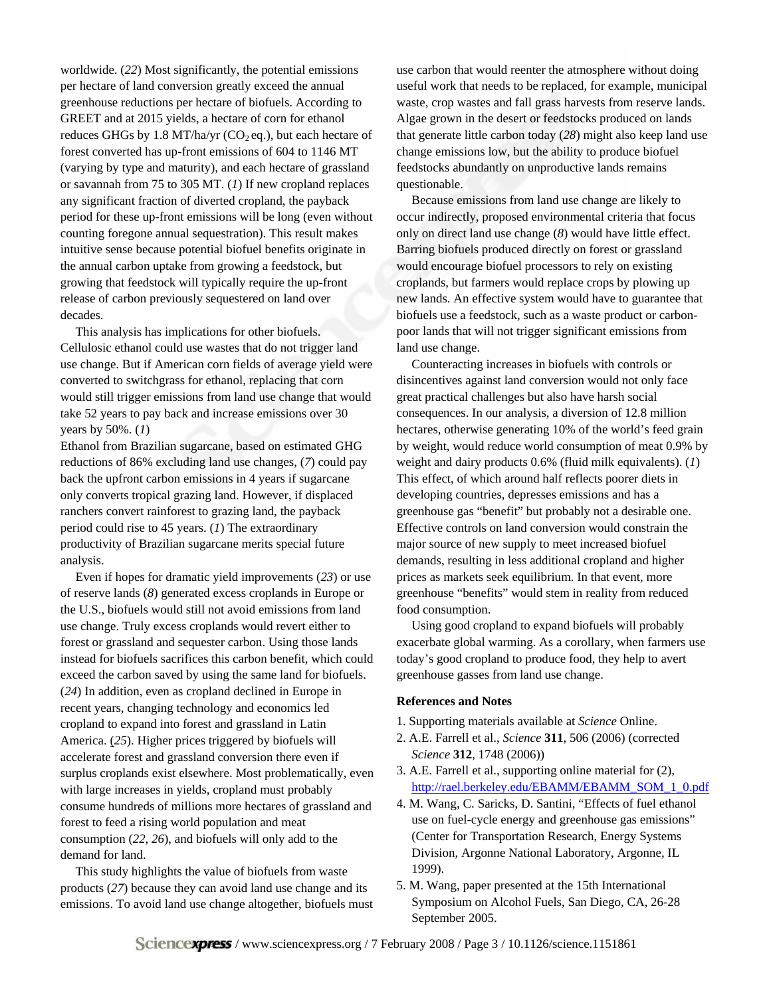worldwide. (*22*) Most significantly, the potential emissions per hectare of land conversion greatly exceed the annual greenhouse reductions per hectare of biofuels. According to GREET and at 2015 yields, a hectare of corn for ethanol reduces GHGs by 1.8 MT/ha/yr ( $CO<sub>2</sub>$ eq.), but each hectare of forest converted has up-front emissions of 604 to 1146 MT (varying by type and maturity), and each hectare of grassland or savannah from 75 to 305 MT. (*1*) If new cropland replaces any significant fraction of diverted cropland, the payback period for these up-front emissions will be long (even without counting foregone annual sequestration). This result makes intuitive sense because potential biofuel benefits originate in the annual carbon uptake from growing a feedstock, but growing that feedstock will typically require the up-front release of carbon previously sequestered on land over decades.

This analysis has implications for other biofuels. Cellulosic ethanol could use wastes that do not trigger land use change. But if American corn fields of average yield were converted to switchgrass for ethanol, replacing that corn would still trigger emissions from land use change that would take 52 years to pay back and increase emissions over 30 years by 50%. (*1*)

Ethanol from Brazilian sugarcane, based on estimated GHG reductions of 86% excluding land use changes, (*7*) could pay back the upfront carbon emissions in 4 years if sugarcane only converts tropical grazing land. However, if displaced ranchers convert rainforest to grazing land, the payback period could rise to 45 years. (*1*) The extraordinary productivity of Brazilian sugarcane merits special future analysis.

Even if hopes for dramatic yield improvements (*23*) or use of reserve lands (*8*) generated excess croplands in Europe or the U.S., biofuels would still not avoid emissions from land use change. Truly excess croplands would revert either to forest or grassland and sequester carbon. Using those lands instead for biofuels sacrifices this carbon benefit, which could exceed the carbon saved by using the same land for biofuels. (*24*) In addition, even as cropland declined in Europe in recent years, changing technology and economics led cropland to expand into forest and grassland in Latin America. (*25*). Higher prices triggered by biofuels will accelerate forest and grassland conversion there even if surplus croplands exist elsewhere. Most problematically, even with large increases in yields, cropland must probably consume hundreds of millions more hectares of grassland and forest to feed a rising world population and meat consumption (*22, 26*), and biofuels will only add to the demand for land.

This study highlights the value of biofuels from waste products (*27*) because they can avoid land use change and its emissions. To avoid land use change altogether, biofuels must use carbon that would reenter the atmosphere without doing useful work that needs to be replaced, for example, municipal waste, crop wastes and fall grass harvests from reserve lands. Algae grown in the desert or feedstocks produced on lands that generate little carbon today (*28*) might also keep land use change emissions low, but the ability to produce biofuel feedstocks abundantly on unproductive lands remains questionable.

Because emissions from land use change are likely to occur indirectly, proposed environmental criteria that focus only on direct land use change (*8*) would have little effect. Barring biofuels produced directly on forest or grassland would encourage biofuel processors to rely on existing croplands, but farmers would replace crops by plowing up new lands. An effective system would have to guarantee that biofuels use a feedstock, such as a waste product or carbonpoor lands that will not trigger significant emissions from land use change.

Counteracting increases in biofuels with controls or disincentives against land conversion would not only face great practical challenges but also have harsh social consequences. In our analysis, a diversion of 12.8 million hectares, otherwise generating 10% of the world's feed grain by weight, would reduce world consumption of meat 0.9% by weight and dairy products 0.6% (fluid milk equivalents). (*1*) This effect, of which around half reflects poorer diets in developing countries, depresses emissions and has a greenhouse gas "benefit" but probably not a desirable one. Effective controls on land conversion would constrain the major source of new supply to meet increased biofuel demands, resulting in less additional cropland and higher prices as markets seek equilibrium. In that event, more greenhouse "benefits" would stem in reality from reduced food consumption.

Using good cropland to expand biofuels will probably exacerbate global warming. As a corollary, when farmers use today's good cropland to produce food, they help to avert greenhouse gasses from land use change.

## **References and Notes**

- 1. Supporting materials available at *Science* Online.
- 2. A.E. Farrell et al., *Science* **311**, 506 (2006) (corrected *Science* **312**, 1748 (2006))
- 3. A.E. Farrell et al., supporting online material for (2), http://rael.berkeley.edu/EBAMM/EBAMM\_SOM\_1\_0.pdf
- 4. M. Wang, C. Saricks, D. Santini, "Effects of fuel ethanol use on fuel-cycle energy and greenhouse gas emissions" (Center for Transportation Research, Energy Systems Division, Argonne National Laboratory, Argonne, IL 1999).
- 5. M. Wang, paper presented at the 15th International Symposium on Alcohol Fuels, San Diego, CA, 26-28 September 2005.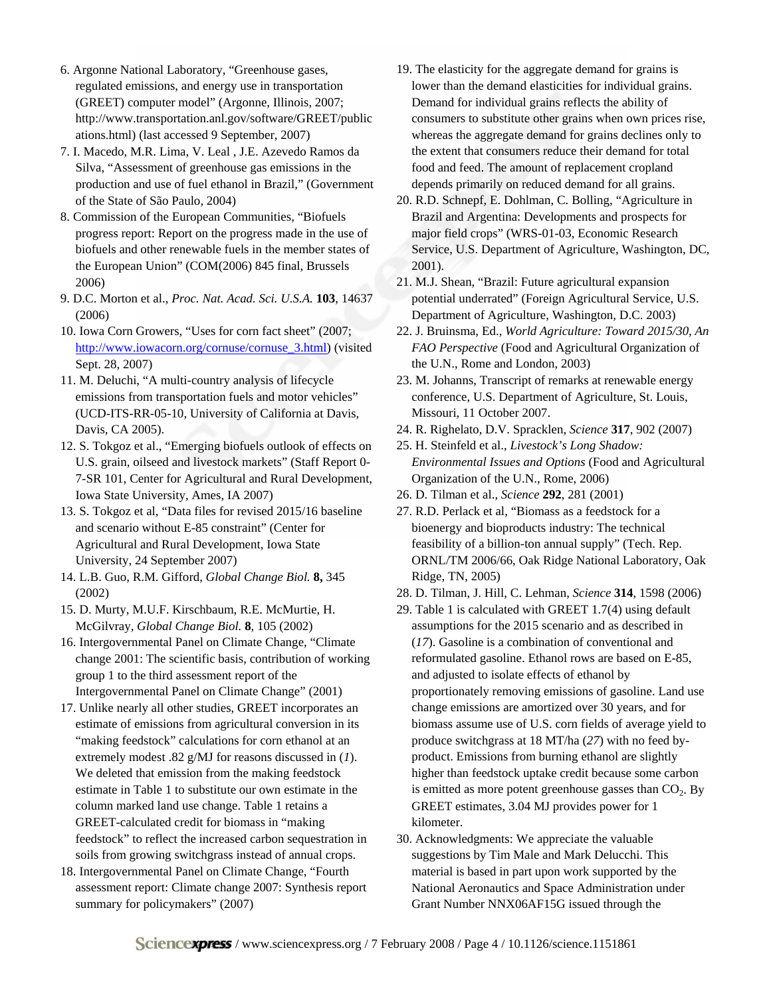- 6. Argonne National Laboratory, "Greenhouse gases, regulated emissions, and energy use in transportation (GREET) computer model" (Argonne, Illinois, 2007; http://www.transportation.anl.gov/software/GREET/public ations.html) (last accessed 9 September, 2007)
- 7. I. Macedo, M.R. Lima, V. Leal , J.E. Azevedo Ramos da Silva, "Assessment of greenhouse gas emissions in the production and use of fuel ethanol in Brazil," (Government of the State of São Paulo, 2004)
- 8. Commission of the European Communities, "Biofuels progress report: Report on the progress made in the use of biofuels and other renewable fuels in the member states of the European Union" (COM(2006) 845 final, Brussels 2006)
- 9. D.C. Morton et al., *Proc. Nat. Acad. Sci. U.S.A.* **103**, 14637 (2006)
- 10. Iowa Corn Growers, "Uses for corn fact sheet" (2007; http://www.iowacorn.org/cornuse/cornuse\_3.html) (visited Sept. 28, 2007)
- 11. M. Deluchi, "A multi-country analysis of lifecycle emissions from transportation fuels and motor vehicles" (UCD-ITS-RR-05-10, University of California at Davis, Davis, CA 2005).
- 12. S. Tokgoz et al., "Emerging biofuels outlook of effects on U.S. grain, oilseed and livestock markets" (Staff Report 0- 7-SR 101, Center for Agricultural and Rural Development, Iowa State University, Ames, IA 2007)
- 13. S. Tokgoz et al, "Data files for revised 2015/16 baseline and scenario without E-85 constraint" (Center for Agricultural and Rural Development, Iowa State University, 24 September 2007)
- 14. L.B. Guo, R.M. Gifford, *Global Change Biol.* **8,** 345 (2002)
- 15. D. Murty, M.U.F. Kirschbaum, R.E. McMurtie, H. McGilvray, *Global Change Biol.* **8**, 105 (2002)
- 16. Intergovernmental Panel on Climate Change, "Climate change 2001: The scientific basis, contribution of working group 1 to the third assessment report of the Intergovernmental Panel on Climate Change" (2001)
- 17. Unlike nearly all other studies, GREET incorporates an estimate of emissions from agricultural conversion in its "making feedstock" calculations for corn ethanol at an extremely modest .82 g/MJ for reasons discussed in (*1*). We deleted that emission from the making feedstock estimate in Table 1 to substitute our own estimate in the column marked land use change. Table 1 retains a GREET-calculated credit for biomass in "making feedstock" to reflect the increased carbon sequestration in soils from growing switchgrass instead of annual crops.
- 18. Intergovernmental Panel on Climate Change, "Fourth assessment report: Climate change 2007: Synthesis report summary for policymakers" (2007)
- 19. The elasticity for the aggregate demand for grains is lower than the demand elasticities for individual grains. Demand for individual grains reflects the ability of consumers to substitute other grains when own prices rise, whereas the aggregate demand for grains declines only to the extent that consumers reduce their demand for total food and feed. The amount of replacement cropland depends primarily on reduced demand for all grains.
- 20. R.D. Schnepf, E. Dohlman, C. Bolling, "Agriculture in Brazil and Argentina: Developments and prospects for major field crops" (WRS-01-03, Economic Research Service, U.S. Department of Agriculture, Washington, DC, 2001).
- 21. M.J. Shean, "Brazil: Future agricultural expansion potential underrated" (Foreign Agricultural Service, U.S. Department of Agriculture, Washington, D.C. 2003)
- 22. J. Bruinsma, Ed., *World Agriculture: Toward 2015/30, An FAO Perspective* (Food and Agricultural Organization of the U.N., Rome and London, 2003)
- 23. M. Johanns, Transcript of remarks at renewable energy conference, U.S. Department of Agriculture, St. Louis, Missouri, 11 October 2007.
- 24. R. Righelato, D.V. Spracklen, *Science* **317**, 902 (2007)
- 25. H. Steinfeld et al., *Livestock's Long Shadow: Environmental Issues and Options* (Food and Agricultural Organization of the U.N., Rome, 2006)
- 26. D. Tilman et al., *Science* **292**, 281 (2001)
- 27. R.D. Perlack et al, "Biomass as a feedstock for a bioenergy and bioproducts industry: The technical feasibility of a billion-ton annual supply" (Tech. Rep. ORNL/TM 2006/66, Oak Ridge National Laboratory, Oak Ridge, TN, 2005)
- 28. D. Tilman, J. Hill, C. Lehman, *Science* **314**, 1598 (2006)
- 29. Table 1 is calculated with GREET 1.7(4) using default assumptions for the 2015 scenario and as described in (*17*). Gasoline is a combination of conventional and reformulated gasoline. Ethanol rows are based on E-85, and adjusted to isolate effects of ethanol by proportionately removing emissions of gasoline. Land use change emissions are amortized over 30 years, and for biomass assume use of U.S. corn fields of average yield to produce switchgrass at 18 MT/ha (*27*) with no feed byproduct. Emissions from burning ethanol are slightly higher than feedstock uptake credit because some carbon is emitted as more potent greenhouse gasses than  $CO<sub>2</sub>$ . By GREET estimates, 3.04 MJ provides power for 1 kilometer.
- 30. Acknowledgments: We appreciate the valuable suggestions by Tim Male and Mark Delucchi. This material is based in part upon work supported by the National Aeronautics and Space Administration under Grant Number NNX06AF15G issued through the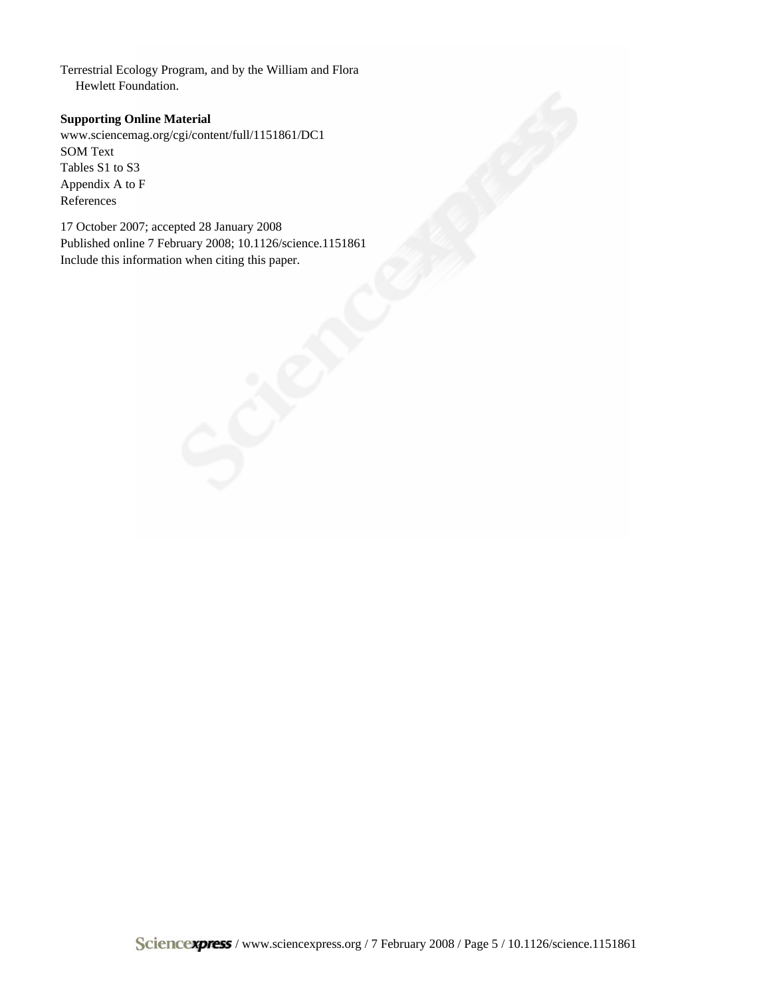Terrestrial Ecology Program, and by the William and Flora Hewlett Foundation.

## **Supporting Online Material**

www.sciencemag.org/cgi/content/full/1151861/DC1 SOM Text Tables S1 to S3 Appendix A to F References

17 October 2007; accepted 28 January 2008 Published online 7 February 2008; 10.1126/science.1151861 Include this information when citing this paper.